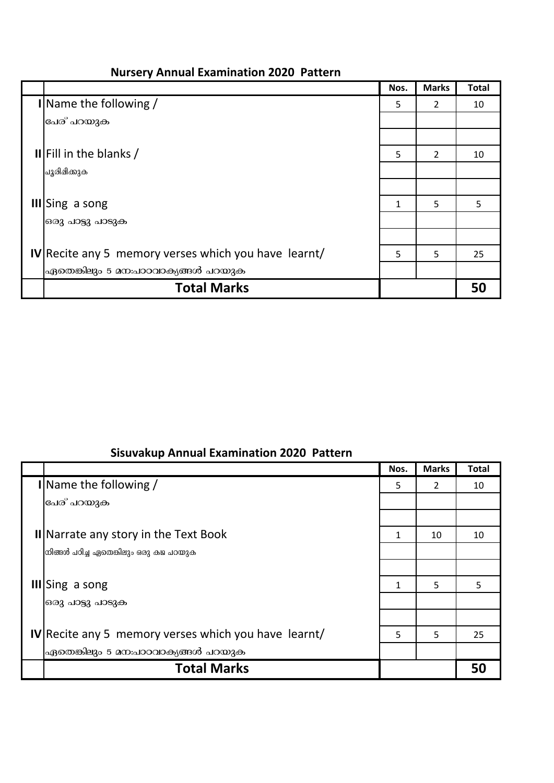|                                                      | Nos. | <b>Marks</b>   | Total |
|------------------------------------------------------|------|----------------|-------|
| I Name the following $/$                             | 5    | 2              | 10    |
| പേര് പറയുക                                           |      |                |       |
|                                                      |      |                |       |
| II Fill in the blanks /                              | 5    | $\overline{2}$ | 10    |
| പൂരിഷിക്കുക                                          |      |                |       |
|                                                      |      |                |       |
| III Sing a song                                      | 1    | 5              | 5     |
| ഒരു പാട്ടു പാടുക                                     |      |                |       |
|                                                      |      |                |       |
| IV Recite any 5 memory verses which you have learnt/ | 5    | 5              | 25    |
| ഏതെങ്കിലും 5 മന:പാഠവാക്യങ്ങൾ പറയുക                   |      |                |       |
| <b>Total Marks</b>                                   |      |                | 50    |
|                                                      |      |                |       |

#### **Nursery Annual Examination 2020 Pattern**

#### **Sisuvakup Annual Examination 2020 Pattern**

|                                                      | Nos. | <b>Marks</b>   | <b>Total</b> |
|------------------------------------------------------|------|----------------|--------------|
| I Name the following $/$                             | 5    | $\mathfrak{p}$ | 10           |
| പേര് പറയുക                                           |      |                |              |
|                                                      |      |                |              |
| <b>II</b>  Narrate any story in the Text Book        | 1    | 10             | 10           |
| നിങ്ങൾ പഠിച്ച ഏതെങ്കിലും ഒരു കഥ പറയുക                |      |                |              |
|                                                      |      |                |              |
| <b>III</b> Sing a song                               | 1    | 5              | 5            |
| ഒരു പാട്ടു പാടുക                                     |      |                |              |
|                                                      |      |                |              |
| IV Recite any 5 memory verses which you have learnt/ | 5    | 5              | 25           |
| ഏതെങ്കിലും 5 മന:പാഠവാക്യങ്ങൾ പറയുക                   |      |                |              |
| <b>Total Marks</b>                                   |      |                | 50           |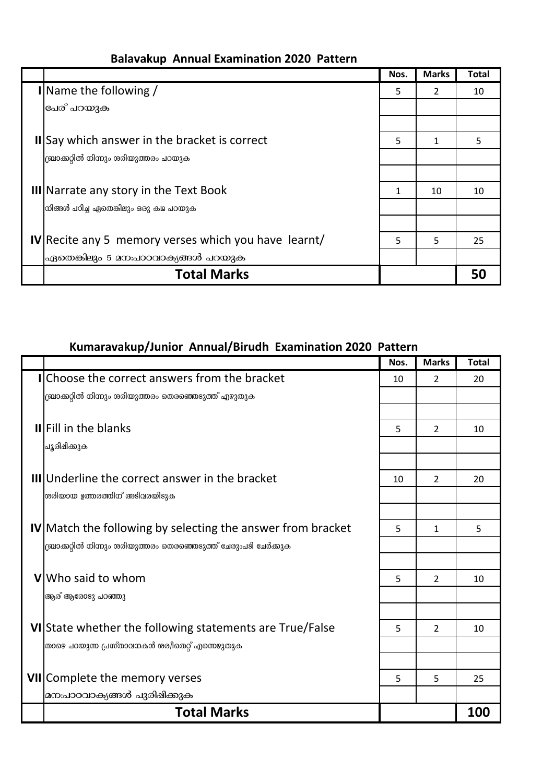## **Balavakup Annual Examination 2020 Pattern**

|                                                      | Nos. | <b>Marks</b>   | Total |
|------------------------------------------------------|------|----------------|-------|
| I Name the following $/$                             | 5    | $\mathfrak{p}$ | 10    |
| പേര് പറയുക                                           |      |                |       |
|                                                      |      |                |       |
| II Say which answer in the bracket is correct        | 5    | 1              | 5     |
| ബ്രാക്കറ്റിൽ നിന്നും ശരിയുത്തരം പറയുക                |      |                |       |
|                                                      |      |                |       |
| III Narrate any story in the Text Book               | 1    | 10             | 10    |
| നിങ്ങൾ പഠിച്ച ഏതെങ്കിലും ഒരു കഥ പറയുക                |      |                |       |
|                                                      |      |                |       |
| IV Recite any 5 memory verses which you have learnt/ | 5    | 5              | 25    |
| ഏതെങ്കിലും 5 മന:പാഠവാക്യങ്ങൾ പറയുക                   |      |                |       |
| <b>Total Marks</b>                                   |      |                | 50    |

# **Kumaravakup/Junior Annual/Birudh Examination 2020 Pattern**

|                                                                    | Nos. | <b>Marks</b>   | <b>Total</b> |
|--------------------------------------------------------------------|------|----------------|--------------|
| I Choose the correct answers from the bracket                      | 10   | 2              | 20           |
| ബ്രാക്കറ്റിൽ നിന്നും ശരിയുത്തരം തെരഞ്ഞെടുത്ത് എഴുതുക               |      |                |              |
|                                                                    |      |                |              |
| <b>Illet</b> Fill in the blanks                                    | 5    | $\mathcal{P}$  | 10           |
| പൂരിഷിക്കുക                                                        |      |                |              |
|                                                                    |      |                |              |
| III Underline the correct answer in the bracket                    | 10   | $\mathcal{P}$  | 20           |
| ശരിയായ ഉത്തരത്തിന് അടിവരയിടുക                                      |      |                |              |
|                                                                    |      |                |              |
| <b>IV</b> Match the following by selecting the answer from bracket | 5    | 1              | 5            |
| ബ്രാക്കറ്റിൽ നിന്നും ശരിയുത്തരം തെരഞ്ഞെടുത്ത് ചേരുംപടി ചേർക്കുക    |      |                |              |
|                                                                    |      |                |              |
| V Who said to whom                                                 | 5    | $\mathfrak{p}$ | 10           |
| ആര് ആരോടു പറഞ്ഞു                                                   |      |                |              |
|                                                                    |      |                |              |
| VI State whether the following statements are True/False           | 5    | $\mathcal{P}$  | 10           |
| താഴെ പറയുന്ന പ്രസ്താവനകൾ ശര/ിതെറ്റ് എന്നെഴുതുക                     |      |                |              |
|                                                                    |      |                |              |
| <b>VII</b> Complete the memory verses                              | 5    | 5              | 25           |
| മന:പാഠവാക്യങ്ങൾ പുരിഷിക്കുക                                        |      |                |              |
| <b>Total Marks</b>                                                 |      |                | 100          |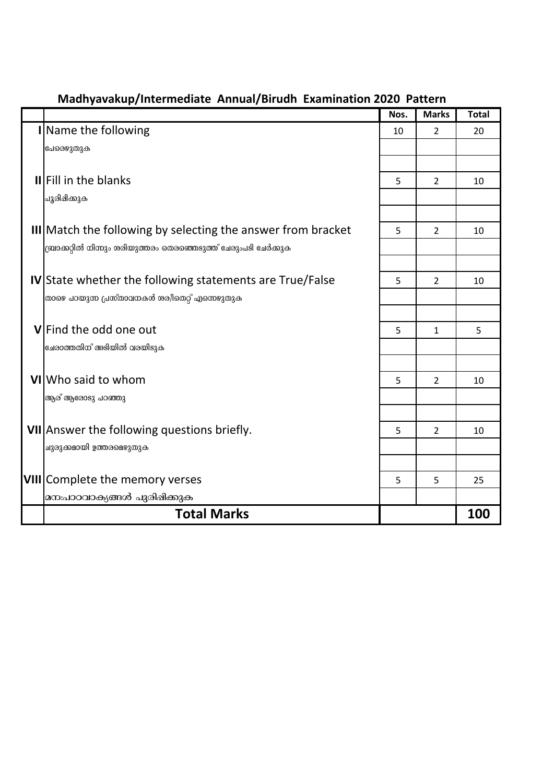|                                                                 | Nos. | <b>Marks</b>   | <b>Total</b> |
|-----------------------------------------------------------------|------|----------------|--------------|
| I Name the following                                            | 10   | $\overline{2}$ | 20           |
| പേരെഴുതുക                                                       |      |                |              |
|                                                                 |      |                |              |
| <b>IllFill in the blanks</b>                                    | 5    | $\overline{2}$ | 10           |
| പൂരിഷിക്കുക                                                     |      |                |              |
|                                                                 |      |                |              |
| III Match the following by selecting the answer from bracket    | 5    | $\overline{2}$ | 10           |
| ബ്രാക്കറ്റിൽ നിന്നും ശരിയുത്തരം തെരഞ്ഞെടുത്ത് ചേരുംപടി ചേർക്കുക |      |                |              |
|                                                                 |      |                |              |
| <b>IV</b> State whether the following statements are True/False | 5    | $\overline{2}$ | 10           |
| താഴെ പറയുന്ന പ്രസ്താവനകൾ ശര/ിതെറ്റ് എന്നെഴുതുക                  |      |                |              |
|                                                                 |      |                |              |
| V Find the odd one out                                          | 5    | $\mathbf{1}$   | 5            |
| ചേരാത്തതിന് അടിയിൽ വരയിടുക                                      |      |                |              |
|                                                                 |      |                |              |
| VI Who said to whom                                             | 5    | $\overline{2}$ | 10           |
| ആര് ആരോടു പറഞ്ഞു                                                |      |                |              |
|                                                                 |      |                |              |
| VII Answer the following questions briefly.                     | 5    | 2              | 10           |
| ചുരുക്കമായി ഉത്തരമെഴുതുക                                        |      |                |              |
|                                                                 |      |                |              |
| VIII Complete the memory verses                                 | 5    | 5              | 25           |
| മന:പാഠവാക്യങ്ങൾ പുരിഷിക്കുക                                     |      |                |              |
| <b>Total Marks</b>                                              |      |                | 100          |

## **Madhyavakup/Intermediate Annual/Birudh Examination 2020 Pattern**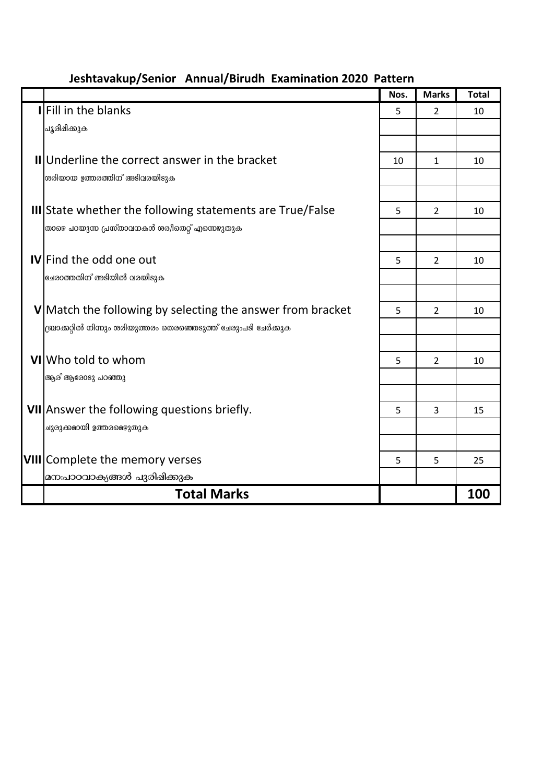|                                                                   | Nos. | <b>Marks</b>   | <b>Total</b> |
|-------------------------------------------------------------------|------|----------------|--------------|
| I Fill in the blanks                                              | 5    | $\overline{2}$ | 10           |
| പൂരിഷിക്കുക                                                       |      |                |              |
|                                                                   |      |                |              |
| II Underline the correct answer in the bracket                    | 10   | $\mathbf{1}$   | 10           |
| ശരിയായ ഉത്തരത്തിന് അടിവരയിടുക                                     |      |                |              |
|                                                                   |      |                |              |
| <b>III</b> State whether the following statements are True/False  | 5    | 2              | 10           |
| താഴെ പറയുന്ന പ്രസ്താവനകൾ ശര/ിതെറ്റ് എന്നെഴുതുക                    |      |                |              |
|                                                                   |      |                |              |
| <b>IV</b> Find the odd one out                                    | 5    | 2              | 10           |
| ചേരാത്തതിന് അടിയിൽ വരയിടുക                                        |      |                |              |
|                                                                   |      |                |              |
| V Match the following by selecting the answer from bracket        | 5    | 2              | 10           |
| ന്ത്രാക്കറ്റിൽ നിന്നും ശരിയുത്തരം തെരഞ്ഞെടുത്ത് ചേരുംപടി ചേർക്കുക |      |                |              |
|                                                                   |      |                |              |
| VI Who told to whom                                               | 5    | 2              | 10           |
| ആര് ആരോടു പറഞ്ഞു                                                  |      |                |              |
|                                                                   |      |                |              |
| <b>VII</b> Answer the following questions briefly.                | 5    | 3              | 15           |
| ചുരുക്കമായി ഉത്തരമെഴുതുക                                          |      |                |              |
|                                                                   |      |                |              |
| <b>VIII</b> Complete the memory verses                            | 5    | 5              | 25           |
| മന:പാഠവാക്യങ്ങൾ പുരിഷിക്കുക                                       |      |                |              |
| <b>Total Marks</b>                                                |      |                | 100          |

#### **Jeshtavakup/Senior Annual/Birudh Examination 2020 Pattern**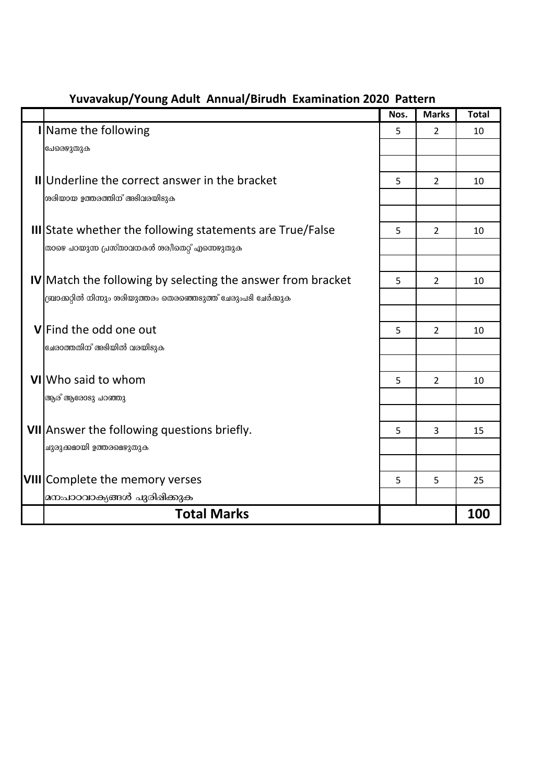|                                                                     | Nos. | <b>Marks</b>   | <b>Total</b> |
|---------------------------------------------------------------------|------|----------------|--------------|
| I Name the following                                                | 5    | $\overline{2}$ | 10           |
| പേരെഴുതുക                                                           |      |                |              |
|                                                                     |      |                |              |
| II Underline the correct answer in the bracket                      | 5    | $\overline{2}$ | 10           |
| ശരിയായ ഉത്തരത്തിന് അടിവരയിടുക                                       |      |                |              |
|                                                                     |      |                |              |
| <b>III</b> State whether the following statements are True/False    | 5    | $\overline{2}$ | 10           |
| താഴെ പറയുന്ന പ്രസ്താവനകൾ ശര/ിതെറ്റ് എന്നെഴുതുക                      |      |                |              |
|                                                                     |      |                |              |
| <b>IV</b> Match the following by selecting the answer from bracket  | 5    | $\overline{2}$ | 10           |
| ന്ത്ര്വാക്കറ്റിൽ നിന്നും ശരിയുത്തരം തെരഞ്ഞെടുത്ത് ചേരുംപടി ചേർക്കുക |      |                |              |
|                                                                     |      |                |              |
| V Find the odd one out                                              | 5    | $\overline{2}$ | 10           |
| ചേരാത്തതിന് അടിയിൽ വരയിടുക                                          |      |                |              |
|                                                                     |      |                |              |
| VI Who said to whom                                                 | 5    | $\overline{2}$ | 10           |
| ആര് ആരോടു പറഞ്ഞു                                                    |      |                |              |
|                                                                     |      |                |              |
| VII Answer the following questions briefly.                         | 5    | 3              | 15           |
| ചുരുക്കമായി ഉത്തരമെഴുതുക                                            |      |                |              |
|                                                                     |      |                |              |
| <b>VIII</b> Complete the memory verses                              | 5    | 5              | 25           |
| മന:പാഠവാക്യങ്ങൾ പുരിഷിക്കുക                                         |      |                |              |
| <b>Total Marks</b>                                                  |      |                | 100          |

# **Yuvavakup/Young Adult Annual/Birudh Examination 2020 Pattern**